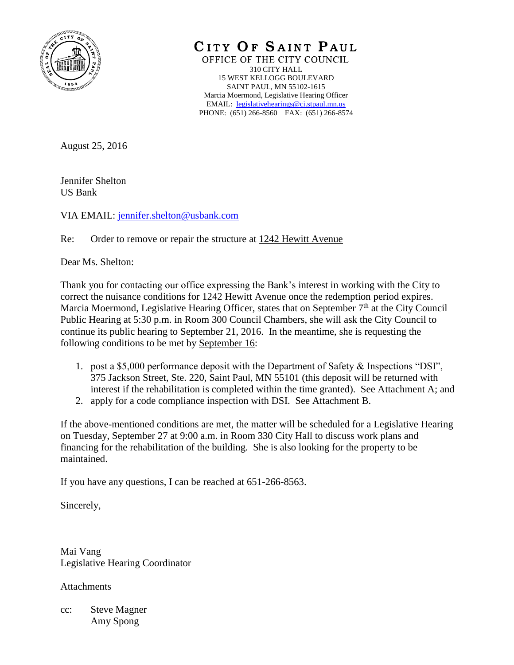

CITY OF SAINT PAUL

OFFICE OF THE CITY COUNCIL 310 CITY HALL 15 WEST KELLOGG BOULEVARD SAINT PAUL, MN 55102-1615 Marcia Moermond, Legislative Hearing Officer EMAIL: [legislativehearings@ci.stpaul.mn.us](mailto:legislativehearings@ci.stpaul.mn.us) PHONE: (651) 266-8560 FAX: (651) 266-8574

August 25, 2016

Jennifer Shelton US Bank

VIA EMAIL: [jennifer.shelton@usbank.com](mailto:jennifer.shelton@usbank.com)

Re: Order to remove or repair the structure at 1242 Hewitt Avenue

Dear Ms. Shelton:

Thank you for contacting our office expressing the Bank's interest in working with the City to correct the nuisance conditions for 1242 Hewitt Avenue once the redemption period expires. Marcia Moermond, Legislative Hearing Officer, states that on September  $7<sup>th</sup>$  at the City Council Public Hearing at 5:30 p.m. in Room 300 Council Chambers, she will ask the City Council to continue its public hearing to September 21, 2016. In the meantime, she is requesting the following conditions to be met by September 16:

- 1. post a \$5,000 performance deposit with the Department of Safety & Inspections "DSI", 375 Jackson Street, Ste. 220, Saint Paul, MN 55101 (this deposit will be returned with interest if the rehabilitation is completed within the time granted). See Attachment A; and
- 2. apply for a code compliance inspection with DSI. See Attachment B.

If the above-mentioned conditions are met, the matter will be scheduled for a Legislative Hearing on Tuesday, September 27 at 9:00 a.m. in Room 330 City Hall to discuss work plans and financing for the rehabilitation of the building. She is also looking for the property to be maintained.

If you have any questions, I can be reached at 651-266-8563.

Sincerely,

Mai Vang Legislative Hearing Coordinator

Attachments

cc: Steve Magner Amy Spong